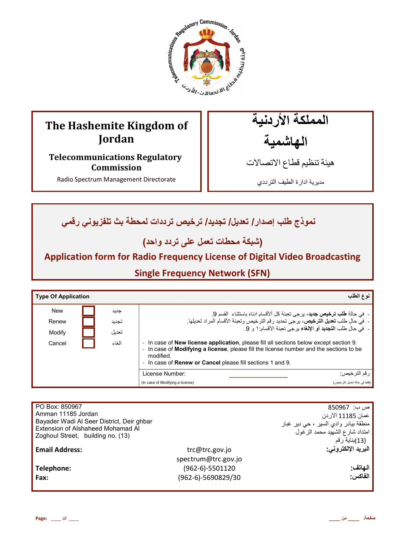

# **The Hashemite Kingdom of Jordan**

**Telecommunications Regulatory Commission** 

Radio Spectrum Management Directorate

المملكة الأردنية الـهاشمية

هيئة تنظيم قطاع الاتصـالات

مديرية ادارة الطيف الترددي

<mark>نموذج طلب إصدار / تعديل/ تجديد/ ترخيص ترددات لمحطة بث تلفزيوني رق*مي*</mark>

(شبكة محطات تع*مل* على تردد واحد)

# **Application form for Radio Frequency License of Digital Video Broadcasting**

**Single Frequency Network (SFN)**

| <b>Type Of Application</b> |       |                                                                                                                                                                                                                                                                                                                                | نوع الطلب                    |
|----------------------------|-------|--------------------------------------------------------------------------------------------------------------------------------------------------------------------------------------------------------------------------------------------------------------------------------------------------------------------------------|------------------------------|
| <b>New</b>                 | جديد  | - في حالة <b>طلب ترخيص جديد</b> ، برجي تعبئة كل ألأقسام ادناه باستثناء  القسم 9.                                                                                                                                                                                                                                               |                              |
| Renew                      | تجديد | -  فيّ حال طلب تعديل الترخيص، برجي تحديد رقم الترخيص وتعبئة الأقسام المراد تعديلها.                                                                                                                                                                                                                                            |                              |
| Modify                     | تعديل | -  في حال طلب ا <b>لتجديد</b> أو الإ <b>لغ</b> اء بر جي تعبئة الأقسام: ١ و  9.                                                                                                                                                                                                                                                 |                              |
| Cancel                     | الغاء | In case of New license application, please fill all sections below except section 9.<br>$\overline{\phantom{a}}$<br>In case of <b>Modifying a license</b> , please fill the license number and the sections to be<br>$\overline{\phantom{a}}$<br>modified<br>- In case of <b>Renew or Cancel</b> please fill sections 1 and 9. |                              |
|                            |       | License Number:                                                                                                                                                                                                                                                                                                                | ر قم التر خيص:               |
|                            |       | (In case of Modifying a license)                                                                                                                                                                                                                                                                                               | (فقط في حالة تعديل التر خيص) |

| PO Box: 850967                            |                     | ص ب:  850967                         |
|-------------------------------------------|---------------------|--------------------------------------|
| Amman 11185 Jordan                        |                     | عمان 11185 الار دن                   |
| Bayader Wadi Al Seer District, Deir ghbar |                     | منطقة بيادر وادي السير ، حي دير غبار |
| Extension of Alshaheed Mohamad Al         |                     | امتداد شارع الشهيد محمد الزغول       |
| Zoghoul Street, building no. (13)         |                     | (13)بناية رقم                        |
| <b>Email Address:</b>                     | trc@trc.gov.jo      | البريد الإلكتروني:                   |
|                                           | spectrum@trc.gov.jo |                                      |
|                                           |                     |                                      |
| Telephone:                                | $(962-6)-5501120$   | الهاتف                               |
| Fax:                                      | (962-6)-5690829/30  | الفاكس:                              |
|                                           |                     |                                      |
|                                           |                     |                                      |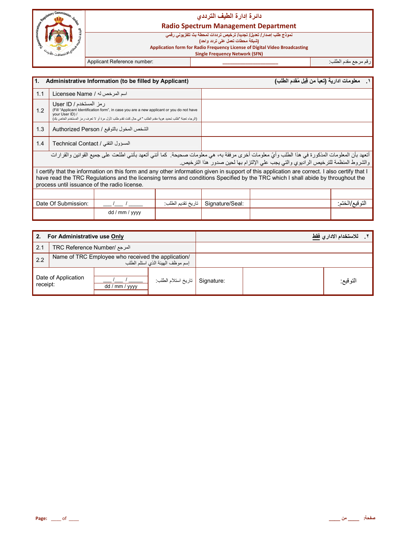

## دائرة إدارة الطيف التردد*ي*

**Radio Spectrum Management Department** 

نموذج طلب إصدار / تعديل/ تجديد/ ترخيص ترددات لمحطة بث تلفزيون*ي* رق*مي* 

**(**شبكة محطات تعمل على تردد واحد**)** 

**Application form for Radio Frequency License of Digital Video Broadcasting**

 **Single Frequency Network (SFN)**

رم رf &دم اط\*ب: **\_\_\_\_\_\_\_\_\_\_\_\_\_\_\_\_\_\_\_\_\_\_** :number Reference Applicant

| Administrative Information (to be filled by Applicant)<br>l1.                                                                                                                                                                                                                                                                  |                                    |                                           |                   | معلومات ادارية (تعبأ من قِبل مُقدم الطلب) |                                                                                                                                                                                                                                      |                 |
|--------------------------------------------------------------------------------------------------------------------------------------------------------------------------------------------------------------------------------------------------------------------------------------------------------------------------------|------------------------------------|-------------------------------------------|-------------------|-------------------------------------------|--------------------------------------------------------------------------------------------------------------------------------------------------------------------------------------------------------------------------------------|-----------------|
| 1.1                                                                                                                                                                                                                                                                                                                            | اسم المرخص له / Licensee Name      |                                           |                   |                                           |                                                                                                                                                                                                                                      |                 |
| ر مز المستخدم / User ID<br>(Fill "Applicant Identification form", in case you are a new applicant or you do not have<br>1.2<br>vour User ID) /<br>(الرجاء تعنة "طلب تحديد هوية مقدم الطلب " في حال كنت تقدم طلب لأول مرة أو لا تعرف ر مز المستخدم الخاص بك)                                                                    |                                    |                                           |                   |                                           |                                                                                                                                                                                                                                      |                 |
| 1.3                                                                                                                                                                                                                                                                                                                            |                                    | الشخص المخول بالتوقيع / Authorized Person |                   |                                           |                                                                                                                                                                                                                                      |                 |
| 1.4                                                                                                                                                                                                                                                                                                                            | المسؤول التقني / Technical Contact |                                           |                   |                                           |                                                                                                                                                                                                                                      |                 |
|                                                                                                                                                                                                                                                                                                                                |                                    |                                           |                   |                                           | أتعهد بأن المعلومات المذكورة في هذا الطلب وأيّ معلومات أخرى مرفقة به، هي معلومات صحيحة. كما أنني أتعهد بأنني اطلعت على جميع القوانين والقرارات<br>والشروط المنظمة للترخيص الراديوي والتي يجب على الإلتزام بها لحين صدور هذا الترخيص. |                 |
| certify that the information on this form and any other information given in support of this application are correct. I also certify that I<br>have read the TRC Regulations and the licensing terms and conditions Specified by the TRC which I shall abide by throughout the<br>process until issuance of the radio license. |                                    |                                           |                   |                                           |                                                                                                                                                                                                                                      |                 |
|                                                                                                                                                                                                                                                                                                                                |                                    |                                           |                   |                                           |                                                                                                                                                                                                                                      |                 |
|                                                                                                                                                                                                                                                                                                                                | Date Of Submission:                |                                           | تاريخ تقديم الطلب | Signature/Seal:                           |                                                                                                                                                                                                                                      | التو قيع/الختم: |
|                                                                                                                                                                                                                                                                                                                                |                                    | dd / mm / yyyy                            |                   |                                           |                                                                                                                                                                                                                                      |                 |

| For Administrative use Only |                                                                                        |                |                     | للاستخدام الاداري فقط |          |
|-----------------------------|----------------------------------------------------------------------------------------|----------------|---------------------|-----------------------|----------|
| 2.1                         | المرجع /TRC Reference Number                                                           |                |                     |                       |          |
| 2.2                         | Name of TRC Employee who received the application/<br>إسم موظف الهيئة الذي استلم الطلب |                |                     |                       |          |
| receipt:                    | Date of Application                                                                    | dd / mm / yyyy | تاريخ استلام الطلب: | Signature:            | التوقيع: |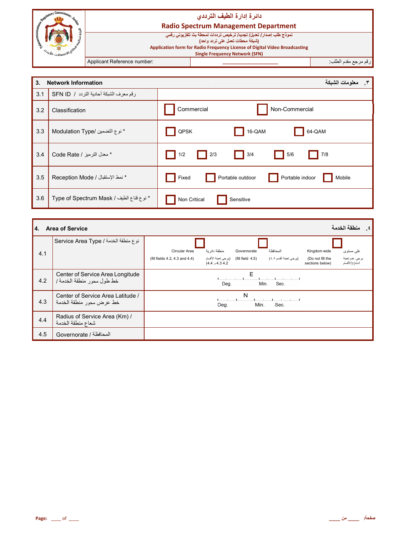| Sammise<br>٩.                      |                             | دائرة إدارة الطيف الترددى<br><b>Radio Spectrum Management Department</b>                                                                                                                                                     |                         |
|------------------------------------|-----------------------------|------------------------------------------------------------------------------------------------------------------------------------------------------------------------------------------------------------------------------|-------------------------|
| متصنالات- <i>الألا<sup>ل</sup></i> |                             | نموذج طلب إصدار/ تعديل/ تجديد/ ترخيص ترددات لمحطة بث تلفزيوني رقمي<br>(شبكة محطات تعمل على تردد واحد)<br>Application form for Radio Frequency License of Digital Video Broadcasting<br><b>Single Frequency Network (SFN)</b> |                         |
|                                    | Applicant Reference number: |                                                                                                                                                                                                                              | ارقم مرجع مقدم الطلب: ا |

| 3.  | <b>Network Information</b>               | معلومات الشبكة                                                                                                                      |
|-----|------------------------------------------|-------------------------------------------------------------------------------------------------------------------------------------|
| 3.1 | رقم معرف الشبكة أحادية التردد / SFN ID   |                                                                                                                                     |
| 3.2 | Classification                           | Commercial<br>Non-Commercial                                                                                                        |
| 3.3 | * نوع التضمين /Modulation Type           | 64-QAM<br>QPSK<br>16-QAM                                                                                                            |
| 3.4 | * معدل الترميز / Code Rate               | $\Box$ 2/3<br>5/6<br>$\begin{array}{ c c } \hline \quad & 3/4 \\ \hline \end{array}$<br>$\blacksquare$ 1/2<br>$\parallel$ 7/8<br>H. |
| 3.5 | * نمط الإستقبال / Reception Mode         | Portable outdoor<br>Portable indoor<br>Fixed<br>Mobile                                                                              |
| 3.6 | * نوع قناع الطيف / Type of Spectrum Mask | Non Critical<br>Sensitive                                                                                                           |

| 4.  | منطقة الخدمة<br><b>Area of Service</b>                        |                                                                                                                                                                                                                                                                                                |  |  |  |
|-----|---------------------------------------------------------------|------------------------------------------------------------------------------------------------------------------------------------------------------------------------------------------------------------------------------------------------------------------------------------------------|--|--|--|
| 4.1 | نوع منطقة الخدمة / Service Area Type                          | منطقة دائر بة<br>Circular Area<br>المحافظة<br>Kingdom wide<br>Governorate<br>علىي مستوى<br>(بر جي تعبئة الأقسام<br>يرجى عدم تعبئة<br>(برجي تعبئة القسم ٤٥)<br>(fill field $4.5$ )<br>(fill fields 4.2, 4.3 and 4.4)<br>(Do not fill the<br>أدناه) (الأقسام<br>4.34.2 و 4.4)<br>sections below) |  |  |  |
| 4.2 | Center of Service Area Longitude<br>خط طول محور منطقة الخدمة/ | Е<br>Sec.<br>Deg.<br>Min.                                                                                                                                                                                                                                                                      |  |  |  |
| 4.3 | Center of Service Area Latitude /<br>خط عرض محور منطقة الخدمة | N<br>Min.<br>Sec.<br>Deg.                                                                                                                                                                                                                                                                      |  |  |  |
| 4.4 | Radius of Service Area (Km) /<br>شعاع منطقة الخدمة            |                                                                                                                                                                                                                                                                                                |  |  |  |
| 4.5 | المحافظة / Governorate                                        |                                                                                                                                                                                                                                                                                                |  |  |  |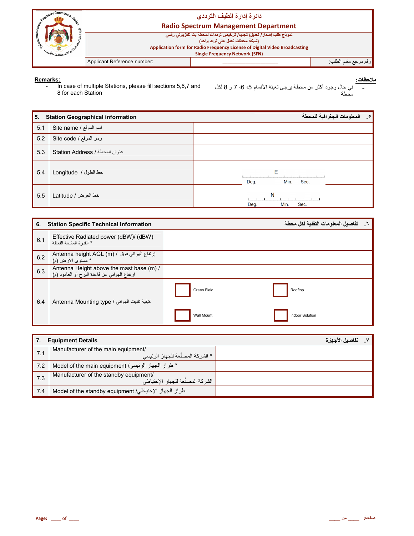

Remarks:<br>- In case of multiple Stations, please fill sections 5,6,7 and

| 5.  | <b>Station Geographical information</b> | المعلومات الجغرافية للمحطة<br>$\cdot$ $\circ$ |
|-----|-----------------------------------------|-----------------------------------------------|
| 5.1 | اسم الموقع / Site name                  |                                               |
| 5.2 | رمز الموقع / Site code                  |                                               |
| 5.3 | عنوان المحطة / Station Address          |                                               |
| 5.4 | خط الطول / Longitude                    | Е<br>Min.<br>Deg.<br>Sec.                     |
| 5.5 | خط العرض / Latitude                     | N<br>Deg.<br>Min.<br>Sec.                     |

| 6.  | <b>Station Specific Technical Information</b>                                            |                   | تفاصيل المعلومات التقنية لكل محطة |
|-----|------------------------------------------------------------------------------------------|-------------------|-----------------------------------|
| 6.1 | Effective Radiated power (dBW)/ (dBW)<br>* القدر ة المشعة الفعالة                        |                   |                                   |
| 6.2 | Antenna height AGL (m) / ارتفاع الهوائي فوق / Antenna height AGL<br>* مستوى الأرض (م)    |                   |                                   |
| 6.3 | Antenna Height above the mast base (m) /<br>ارتفاع الهوائي عن قاعدة البرج أو العامود (م) |                   |                                   |
| 6.4 | Antenna Mounting type / كيفية تثبيت الهوائي                                              | Green Field       | Rooftop                           |
|     |                                                                                          | <b>Wall Mount</b> | <b>Indoor Solution</b>            |

|     | <b>Equipment Details</b>                                                       | تفاصيل الأجهز ة |
|-----|--------------------------------------------------------------------------------|-----------------|
| 7.1 | Manufacturer of the main equipment/<br>. * الشر كة المصنِّعة للجهاز الرئيسي    |                 |
| 7.2 | * طراز الجهاز الرئيسي/ Model of the main equipment                             |                 |
| 7.3 | Manufacturer of the standby equipment/<br>, الشر كة المصنِّعة للجهاز الإحتياطي |                 |
| 7.4 | طراز الجهاز الإحتياطي/ Model of the standby equipment                          |                 |

<sup>&</sup>lt;u>ملاحظات:</u> في حال وجود أكثر من محطة برجي تعبئة الأقسام 5، 6، 7 و 8 لكل طة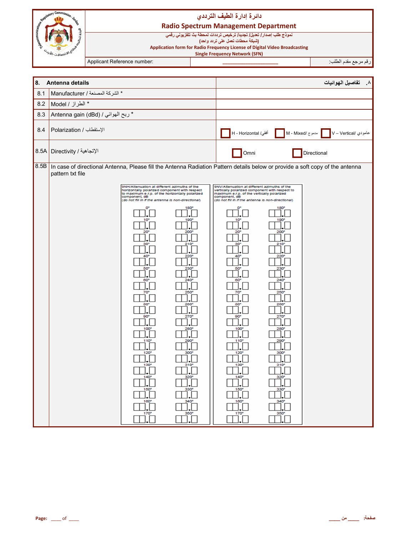|           | <b>COMMUNISTIC COMMUNISTIC REGISTER</b><br><b>Radio Spectrum Management Department</b><br>نموذج طلب إصدار/ تعديل/ تجديد/ ترخيص ترددات لمحطة بث تلفزيوني رقمي |  | دائرة إدارة الطيف الترددي                                                                                                                                                                                                                                                                                                                                                                                                                                                                                                                  |                                                                                                                                                                                                                                         |                                                                                                                                                                                                                                                                                                                                                                                                                                                                                          |                                                                                                                                                                                                                                                         |                                                                                                                                    |
|-----------|--------------------------------------------------------------------------------------------------------------------------------------------------------------|--|--------------------------------------------------------------------------------------------------------------------------------------------------------------------------------------------------------------------------------------------------------------------------------------------------------------------------------------------------------------------------------------------------------------------------------------------------------------------------------------------------------------------------------------------|-----------------------------------------------------------------------------------------------------------------------------------------------------------------------------------------------------------------------------------------|------------------------------------------------------------------------------------------------------------------------------------------------------------------------------------------------------------------------------------------------------------------------------------------------------------------------------------------------------------------------------------------------------------------------------------------------------------------------------------------|---------------------------------------------------------------------------------------------------------------------------------------------------------------------------------------------------------------------------------------------------------|------------------------------------------------------------------------------------------------------------------------------------|
|           | Application form for Radio Frequency License of Digital Video Broadcasting<br><sup>الا</sup> نصالات- <i>الل</i> ا <sup>ن</sup>                               |  |                                                                                                                                                                                                                                                                                                                                                                                                                                                                                                                                            | (شبكة محطات تعمل على تردد واحد)<br><b>Single Frequency Network (SFN)</b>                                                                                                                                                                |                                                                                                                                                                                                                                                                                                                                                                                                                                                                                          |                                                                                                                                                                                                                                                         |                                                                                                                                    |
|           |                                                                                                                                                              |  | Applicant Reference number:                                                                                                                                                                                                                                                                                                                                                                                                                                                                                                                |                                                                                                                                                                                                                                         |                                                                                                                                                                                                                                                                                                                                                                                                                                                                                          |                                                                                                                                                                                                                                                         | رقم مرجع مقدم الطلب:                                                                                                               |
|           |                                                                                                                                                              |  |                                                                                                                                                                                                                                                                                                                                                                                                                                                                                                                                            |                                                                                                                                                                                                                                         |                                                                                                                                                                                                                                                                                                                                                                                                                                                                                          |                                                                                                                                                                                                                                                         |                                                                                                                                    |
| 8.<br>8.1 | Antenna details<br>* الشركة المصنعة / Manufacturer                                                                                                           |  |                                                                                                                                                                                                                                                                                                                                                                                                                                                                                                                                            |                                                                                                                                                                                                                                         |                                                                                                                                                                                                                                                                                                                                                                                                                                                                                          |                                                                                                                                                                                                                                                         | تفاصيل الهوائيات<br>$\cdot^{\mathsf{A}}$                                                                                           |
| 8.2       | * الطراز / Model                                                                                                                                             |  |                                                                                                                                                                                                                                                                                                                                                                                                                                                                                                                                            |                                                                                                                                                                                                                                         |                                                                                                                                                                                                                                                                                                                                                                                                                                                                                          |                                                                                                                                                                                                                                                         |                                                                                                                                    |
| 8.3       | Antenna gain (dBd) / ربح الهوائي /                                                                                                                           |  |                                                                                                                                                                                                                                                                                                                                                                                                                                                                                                                                            |                                                                                                                                                                                                                                         |                                                                                                                                                                                                                                                                                                                                                                                                                                                                                          |                                                                                                                                                                                                                                                         |                                                                                                                                    |
| 8.4       | الإستقطاب / Polarization                                                                                                                                     |  |                                                                                                                                                                                                                                                                                                                                                                                                                                                                                                                                            |                                                                                                                                                                                                                                         | أفقي/ H - Horizontal                                                                                                                                                                                                                                                                                                                                                                                                                                                                     |                                                                                                                                                                                                                                                         | عامودي V – Vertical/   مدموج /M - Mixed                                                                                            |
|           | الإتجاهية / Birectivity الإتجاهية /                                                                                                                          |  |                                                                                                                                                                                                                                                                                                                                                                                                                                                                                                                                            |                                                                                                                                                                                                                                         | Omni                                                                                                                                                                                                                                                                                                                                                                                                                                                                                     |                                                                                                                                                                                                                                                         | Directional                                                                                                                        |
|           | pattern txt file                                                                                                                                             |  | 9NH/Attenuation at different azimuths of the<br>horizontally polarized component with respect<br>to maximum e.r.p. of the horizontally polarized<br>component, dB<br>(do not fill in if the antenna is non-directional)<br>60<br>70<br>$80^{\circ}$<br>$\Box$ . $\Box$<br>90 <sup>o</sup><br>$\Box$<br>$100^\circ$<br>$\cdot$ $\Box$<br>$\begin{array}{c}\n110^{\circ} \\ \hline\n\end{array}$<br>120°<br>$J$ . $\Box$<br>130°<br>$\Box$<br>$\begin{array}{c}\n140^{\circ} \\ \hline\n\end{array}$<br>$150^{\circ}$<br>ĨГ.<br>160°<br>170° | 180<br>190<br>200<br>240<br>250<br>260°<br>ח ר<br>لىا دىلىيا<br>270°<br>$\exists$ . $\Box$<br>$\frac{280^{\circ}}{\cdot}$<br>$\overline{\mathcal{L}}$<br>300°<br>].[<br>310°<br>].[<br>320°<br>Ĵ.ĺ<br>330°<br>Ĩ.<br>340°<br>I.l<br>350° | 9NV/Attenuation at different azimuths of the<br>vertically polarized component with respect to<br>maximum e.r.p. of the vertically polarized<br>component, dB<br>(do not fill in if the antenna is non-directional)<br>60<br>70<br>80 <sup>o</sup><br>$\square$ . $\square$<br>90 <sup>o</sup><br>$\square$ . $\square$<br>100°<br>$\Box$ .<br>110 <sup>o</sup><br>$\Box$ .<br>120°<br>$\Box$<br>130°<br>$\Box$ .<br>$\overline{\mathcal{L}}$<br>$\overline{\mathbf{C}}$<br>160°<br>170° | 180<br>190<br>200<br>210<br>230<br>$240^\circ$<br>250<br>260<br>ו ר<br>للاطا<br>270°<br>$\prod_{i=1}^{n}$<br>280°<br>$\Box$<br>$290^\circ$<br>$\Box.$<br>300°<br>310°<br>$\Box.$<br>$\overline{\mathcal{L}}$<br>$\overline{\mathbb{R}}$<br>340°<br>350° | 8.5B In case of directional Antenna, Please fill the Antenna Radiation Pattern details below or provide a soft copy of the antenna |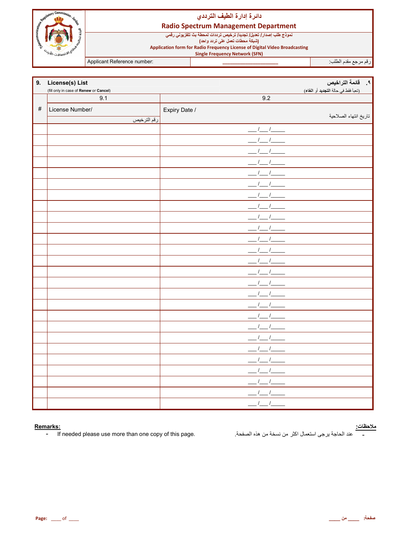

## دائرة إدارة الطيف الترددي

## **Radio Spectrum Management Department**

Applicant Reference number:

رقم مرجع مقدم الطلب.

| 9.   | License(s) List<br>(fill only in case of Renew or Cancel) |               | (تعبأ فقط في حالة التجديد أو الغاء) |
|------|-----------------------------------------------------------|---------------|-------------------------------------|
|      | 9.1                                                       | 9.2           |                                     |
| $\#$ | License Number/                                           | Expiry Date / |                                     |
|      | رقم الترخيص                                               |               | تاريخ انتهاء الصلاحية               |
|      |                                                           |               |                                     |
|      |                                                           |               |                                     |
|      |                                                           |               |                                     |
|      |                                                           |               |                                     |
|      |                                                           |               |                                     |
|      |                                                           |               |                                     |
|      |                                                           |               |                                     |
|      |                                                           |               |                                     |
|      |                                                           |               |                                     |
|      |                                                           |               |                                     |
|      |                                                           |               |                                     |
|      |                                                           |               |                                     |
|      |                                                           |               |                                     |
|      |                                                           |               |                                     |
|      |                                                           |               |                                     |
|      |                                                           |               |                                     |
|      |                                                           |               |                                     |
|      |                                                           |               |                                     |
|      |                                                           |               |                                     |
|      |                                                           |               |                                     |
|      |                                                           |               |                                     |
|      |                                                           |               |                                     |
|      |                                                           |               |                                     |
|      |                                                           |               |                                     |
|      |                                                           |               |                                     |
|      |                                                           | $\prime$      |                                     |
|      |                                                           |               |                                     |

#### Remarks:

 $\blacksquare$ If needed please use more than one copy of this page. <u>ملاحظات:</u><br>-

عند الحاجة يرجى استعمال اكثر من نسخة من هذه الصفحة.